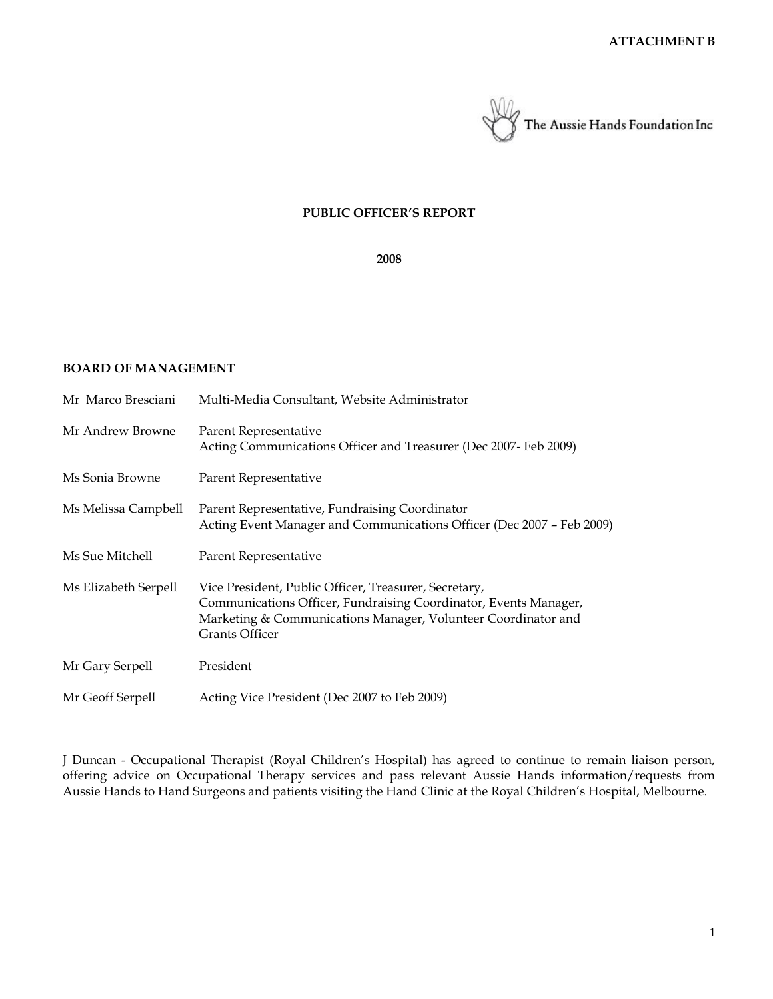

#### **PUBLIC OFFICER'S REPORT**

**2008**

## **BOARD OF MANAGEMENT**

| Mr Marco Bresciani   | Multi-Media Consultant, Website Administrator                                                                                                                                                                |
|----------------------|--------------------------------------------------------------------------------------------------------------------------------------------------------------------------------------------------------------|
| Mr Andrew Browne     | Parent Representative<br>Acting Communications Officer and Treasurer (Dec 2007- Feb 2009)                                                                                                                    |
| Ms Sonia Browne      | Parent Representative                                                                                                                                                                                        |
| Ms Melissa Campbell  | Parent Representative, Fundraising Coordinator<br>Acting Event Manager and Communications Officer (Dec 2007 - Feb 2009)                                                                                      |
| Ms Sue Mitchell      | Parent Representative                                                                                                                                                                                        |
| Ms Elizabeth Serpell | Vice President, Public Officer, Treasurer, Secretary,<br>Communications Officer, Fundraising Coordinator, Events Manager,<br>Marketing & Communications Manager, Volunteer Coordinator and<br>Grants Officer |
| Mr Gary Serpell      | President                                                                                                                                                                                                    |
| Mr Geoff Serpell     | Acting Vice President (Dec 2007 to Feb 2009)                                                                                                                                                                 |

J Duncan - Occupational Therapist (Royal Children's Hospital) has agreed to continue to remain liaison person, offering advice on Occupational Therapy services and pass relevant Aussie Hands information/requests from Aussie Hands to Hand Surgeons and patients visiting the Hand Clinic at the Royal Children's Hospital, Melbourne.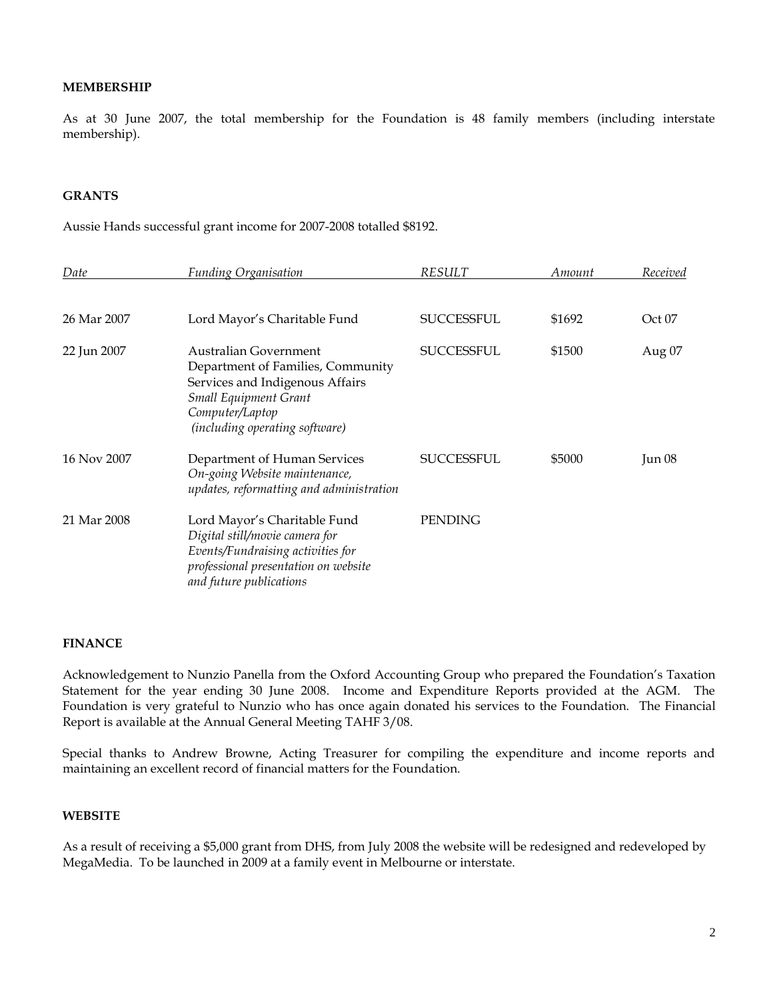### **MEMBERSHIP**

As at 30 June 2007, the total membership for the Foundation is 48 family members (including interstate membership).

## **GRANTS**

Aussie Hands successful grant income for 2007-2008 totalled \$8192.

| Date        | <b>Funding Organisation</b>                                                                                                                                                        | <b>RESULT</b>     | Amount | Received |
|-------------|------------------------------------------------------------------------------------------------------------------------------------------------------------------------------------|-------------------|--------|----------|
| 26 Mar 2007 | Lord Mayor's Charitable Fund                                                                                                                                                       | SUCCESSFUL        | \$1692 | Oct 07   |
| 22 Jun 2007 | Australian Government<br>Department of Families, Community<br>Services and Indigenous Affairs<br><b>Small Equipment Grant</b><br>Computer/Laptop<br>(including operating software) | <b>SUCCESSFUL</b> | \$1500 | Aug 07   |
| 16 Nov 2007 | Department of Human Services<br>On-going Website maintenance,<br>updates, reformatting and administration                                                                          | SUCCESSFUL        | \$5000 | Jun 08   |
| 21 Mar 2008 | Lord Mayor's Charitable Fund<br>Digital still/movie camera for<br>Events/Fundraising activities for<br>professional presentation on website<br>and future publications             | PENDING           |        |          |

#### **FINANCE**

Acknowledgement to Nunzio Panella from the Oxford Accounting Group who prepared the Foundation's Taxation Statement for the year ending 30 June 2008. Income and Expenditure Reports provided at the AGM. The Foundation is very grateful to Nunzio who has once again donated his services to the Foundation. The Financial Report is available at the Annual General Meeting TAHF 3/08.

Special thanks to Andrew Browne, Acting Treasurer for compiling the expenditure and income reports and maintaining an excellent record of financial matters for the Foundation.

### **WEBSITE**

As a result of receiving a \$5,000 grant from DHS, from July 2008 the website will be redesigned and redeveloped by MegaMedia. To be launched in 2009 at a family event in Melbourne or interstate.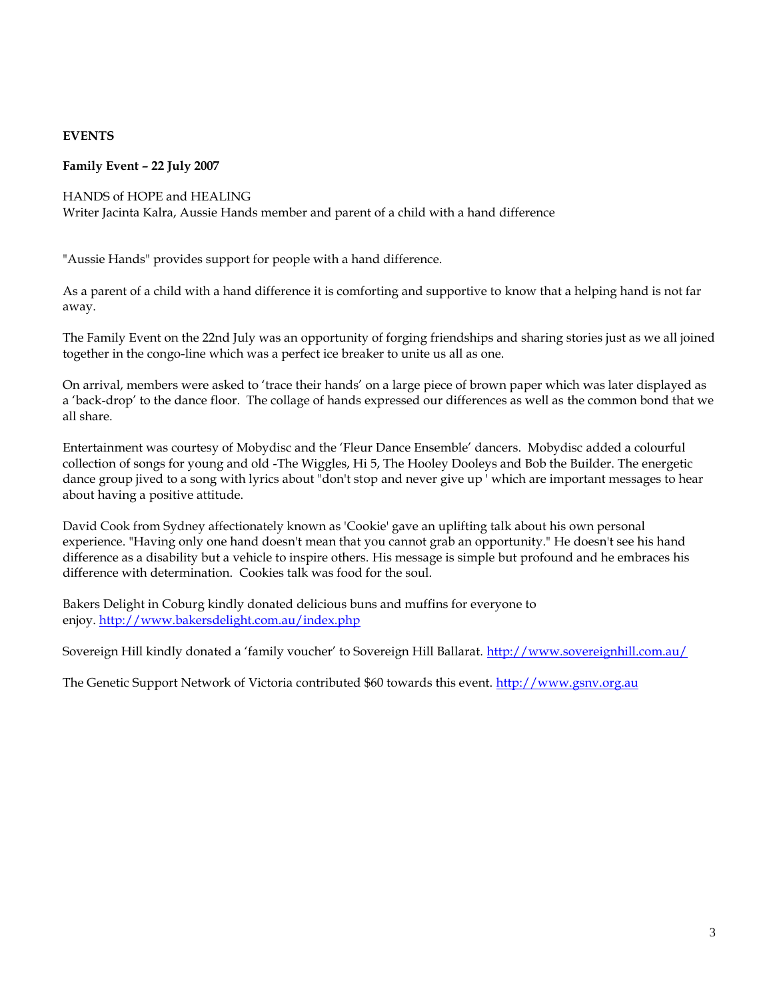# **EVENTS**

## **Family Event – 22 July 2007**

### HANDS of HOPE and HEALING

Writer Jacinta Kalra, Aussie Hands member and parent of a child with a hand difference

"Aussie Hands" provides support for people with a hand difference.

As a parent of a child with a hand difference it is comforting and supportive to know that a helping hand is not far away.

The Family Event on the 22nd July was an opportunity of forging friendships and sharing stories just as we all joined together in the congo-line which was a perfect ice breaker to unite us all as one.

On arrival, members were asked to 'trace their hands' on a large piece of brown paper which was later displayed as a 'back-drop' to the dance floor. The collage of hands expressed our differences as well as the common bond that we all share.

Entertainment was courtesy of Mobydisc and the 'Fleur Dance Ensemble' dancers. Mobydisc added a colourful collection of songs for young and old -The Wiggles, Hi 5, The Hooley Dooleys and Bob the Builder. The energetic dance group jived to a song with lyrics about "don't stop and never give up ' which are important messages to hear about having a positive attitude.

David Cook from Sydney affectionately known as 'Cookie' gave an uplifting talk about his own personal experience. "Having only one hand doesn't mean that you cannot grab an opportunity." He doesn't see his hand difference as a disability but a vehicle to inspire others. His message is simple but profound and he embraces his difference with determination. Cookies talk was food for the soul.

Bakers Delight in Coburg kindly donated delicious buns and muffins for everyone to enjoy. <http://www.bakersdelight.com.au/index.php>

Sovereign Hill kindly donated a 'family voucher' to Sovereign Hill Ballarat. <http://www.sovereignhill.com.au/>

The Genetic Support Network of Victoria contributed \$60 towards this event. [http://www.gsnv.org.au](http://www.gsnv.org.au/)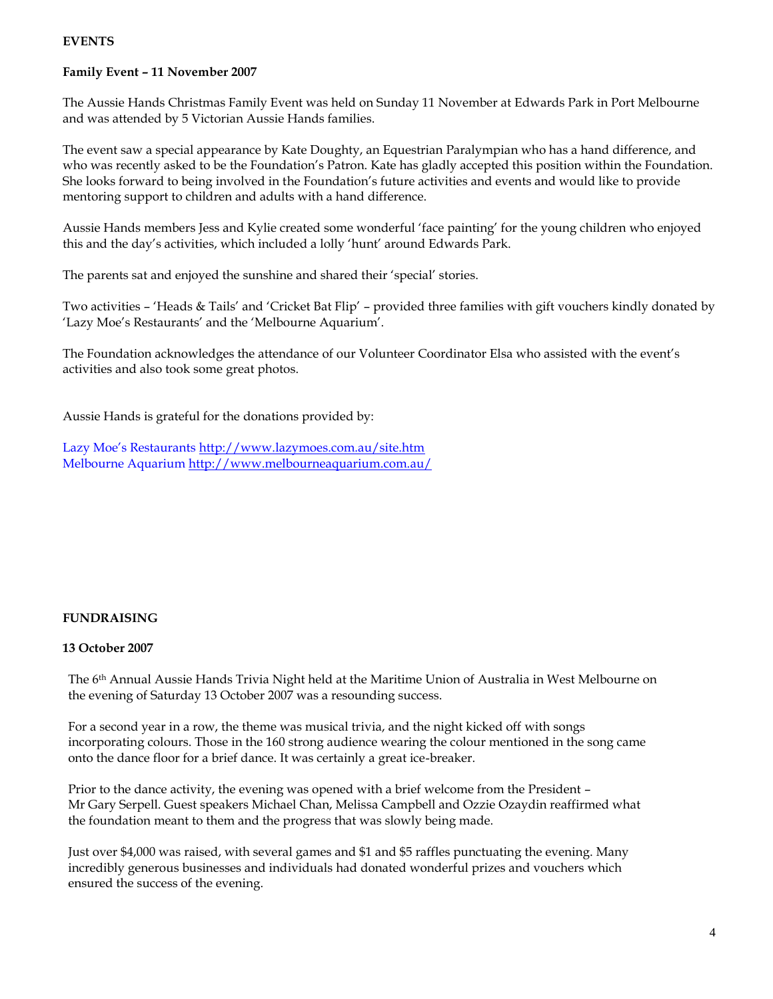# **EVENTS**

## **Family Event – 11 November 2007**

The Aussie Hands Christmas Family Event was held on Sunday 11 November at Edwards Park in Port Melbourne and was attended by 5 Victorian Aussie Hands families.

The event saw a special appearance by Kate Doughty, an Equestrian Paralympian who has a hand difference, and who was recently asked to be the Foundation's Patron. Kate has gladly accepted this position within the Foundation. She looks forward to being involved in the Foundation's future activities and events and would like to provide mentoring support to children and adults with a hand difference.

Aussie Hands members Jess and Kylie created some wonderful 'face painting' for the young children who enjoyed this and the day's activities, which included a lolly 'hunt' around Edwards Park.

The parents sat and enjoyed the sunshine and shared their 'special' stories.

Two activities – 'Heads & Tails' and 'Cricket Bat Flip' – provided three families with gift vouchers kindly donated by 'Lazy Moe's Restaurants' and the 'Melbourne Aquarium'.

The Foundation acknowledges the attendance of our Volunteer Coordinator Elsa who assisted with the event's activities and also took some great photos.

Aussie Hands is grateful for the donations provided by:

Lazy Moe's Restaurants <http://www.lazymoes.com.au/site.htm> Melbourne Aquarium <http://www.melbourneaquarium.com.au/>

### **FUNDRAISING**

### **13 October 2007**

The 6th Annual Aussie Hands Trivia Night held at the Maritime Union of Australia in West Melbourne on the evening of Saturday 13 October 2007 was a resounding success.

For a second year in a row, the theme was musical trivia, and the night kicked off with songs incorporating colours. Those in the 160 strong audience wearing the colour mentioned in the song came onto the dance floor for a brief dance. It was certainly a great ice-breaker.

Prior to the dance activity, the evening was opened with a brief welcome from the President – Mr Gary Serpell. Guest speakers Michael Chan, Melissa Campbell and Ozzie Ozaydin reaffirmed what the foundation meant to them and the progress that was slowly being made.

Just over \$4,000 was raised, with several games and \$1 and \$5 raffles punctuating the evening. Many incredibly generous businesses and individuals had donated wonderful prizes and vouchers which ensured the success of the evening.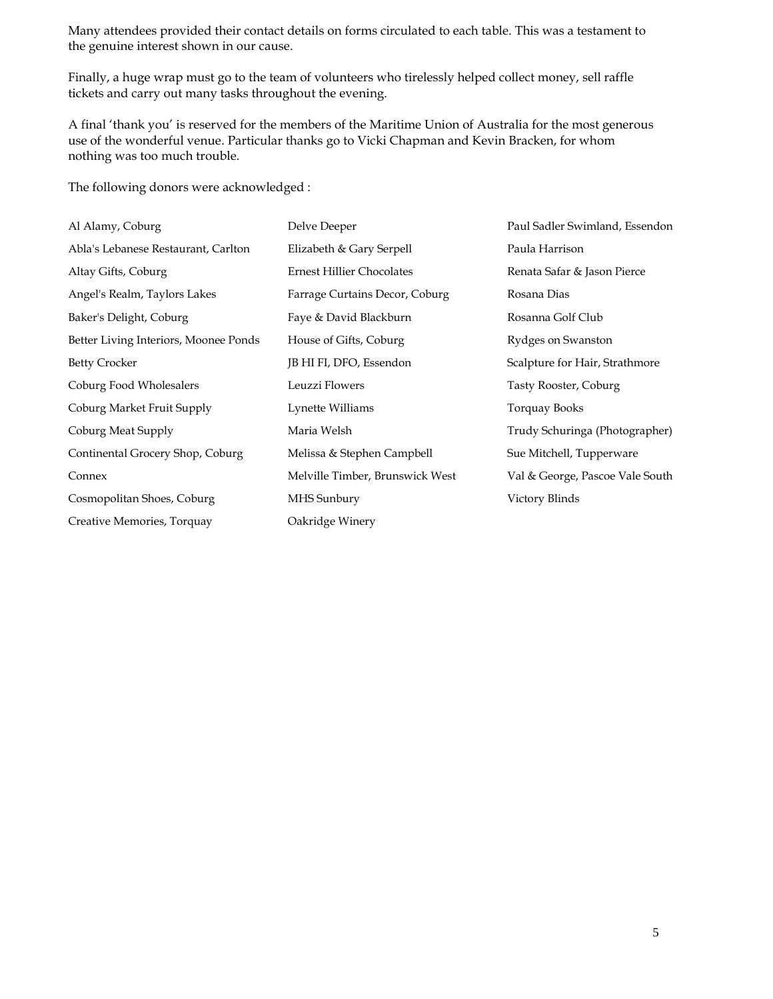Many attendees provided their contact details on forms circulated to each table. This was a testament to the genuine interest shown in our cause.

Finally, a huge wrap must go to the team of volunteers who tirelessly helped collect money, sell raffle tickets and carry out many tasks throughout the evening.

A final 'thank you' is reserved for the members of the Maritime Union of Australia for the most generous use of the wonderful venue. Particular thanks go to Vicki Chapman and Kevin Bracken, for whom nothing was too much trouble.

The following donors were acknowledged :

| Al Alamy, Coburg                      | Delve Deeper                     | Paul Sadler Swimland, Essendon  |
|---------------------------------------|----------------------------------|---------------------------------|
| Abla's Lebanese Restaurant, Carlton   | Elizabeth & Gary Serpell         | Paula Harrison                  |
| Altay Gifts, Coburg                   | <b>Ernest Hillier Chocolates</b> | Renata Safar & Jason Pierce     |
| Angel's Realm, Taylors Lakes          | Farrage Curtains Decor, Coburg   | Rosana Dias                     |
| Baker's Delight, Coburg               | Faye & David Blackburn           | Rosanna Golf Club               |
| Better Living Interiors, Moonee Ponds | House of Gifts, Coburg           | Rydges on Swanston              |
| <b>Betty Crocker</b>                  | JB HI FI, DFO, Essendon          | Scalpture for Hair, Strathmore  |
| Coburg Food Wholesalers               | Leuzzi Flowers                   | Tasty Rooster, Coburg           |
| Coburg Market Fruit Supply            | Lynette Williams                 | Torquay Books                   |
| Coburg Meat Supply                    | Maria Welsh                      | Trudy Schuringa (Photographer)  |
| Continental Grocery Shop, Coburg      | Melissa & Stephen Campbell       | Sue Mitchell, Tupperware        |
| Connex                                | Melville Timber, Brunswick West  | Val & George, Pascoe Vale South |
| Cosmopolitan Shoes, Coburg            | MHS Sunbury                      | Victory Blinds                  |
| Creative Memories, Torquay            | Oakridge Winery                  |                                 |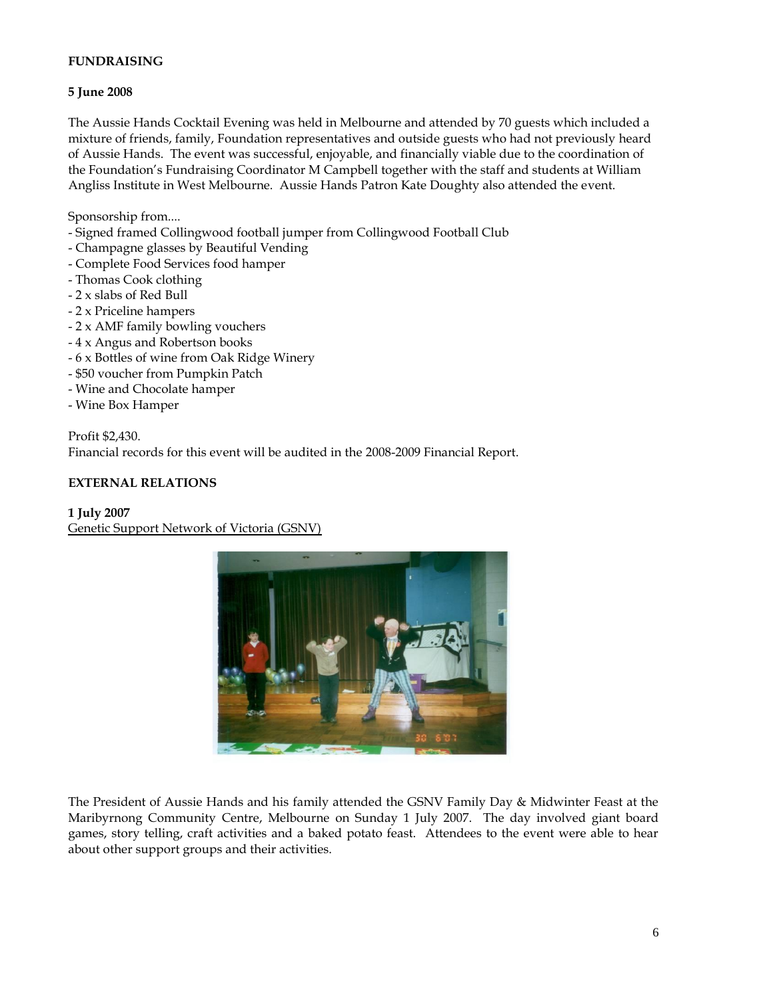## **FUNDRAISING**

## **5 June 2008**

The Aussie Hands Cocktail Evening was held in Melbourne and attended by 70 guests which included a mixture of friends, family, Foundation representatives and outside guests who had not previously heard of Aussie Hands. The event was successful, enjoyable, and financially viable due to the coordination of the Foundation's Fundraising Coordinator M Campbell together with the staff and students at William Angliss Institute in West Melbourne. Aussie Hands Patron Kate Doughty also attended the event.

Sponsorship from....

- Signed framed Collingwood football jumper from Collingwood Football Club
- Champagne glasses by Beautiful Vending
- Complete Food Services food hamper
- Thomas Cook clothing
- 2 x slabs of Red Bull
- 2 x Priceline hampers
- 2 x AMF family bowling vouchers
- 4 x Angus and Robertson books
- 6 x Bottles of wine from Oak Ridge Winery
- \$50 voucher from Pumpkin Patch
- Wine and Chocolate hamper
- Wine Box Hamper

Profit \$2,430. Financial records for this event will be audited in the 2008-2009 Financial Report.

## **EXTERNAL RELATIONS**

### **1 July 2007**

Genetic Support Network of Victoria (GSNV)



The President of Aussie Hands and his family attended the GSNV Family Day & Midwinter Feast at the Maribyrnong Community Centre, Melbourne on Sunday 1 July 2007. The day involved giant board games, story telling, craft activities and a baked potato feast. Attendees to the event were able to hear about other support groups and their activities.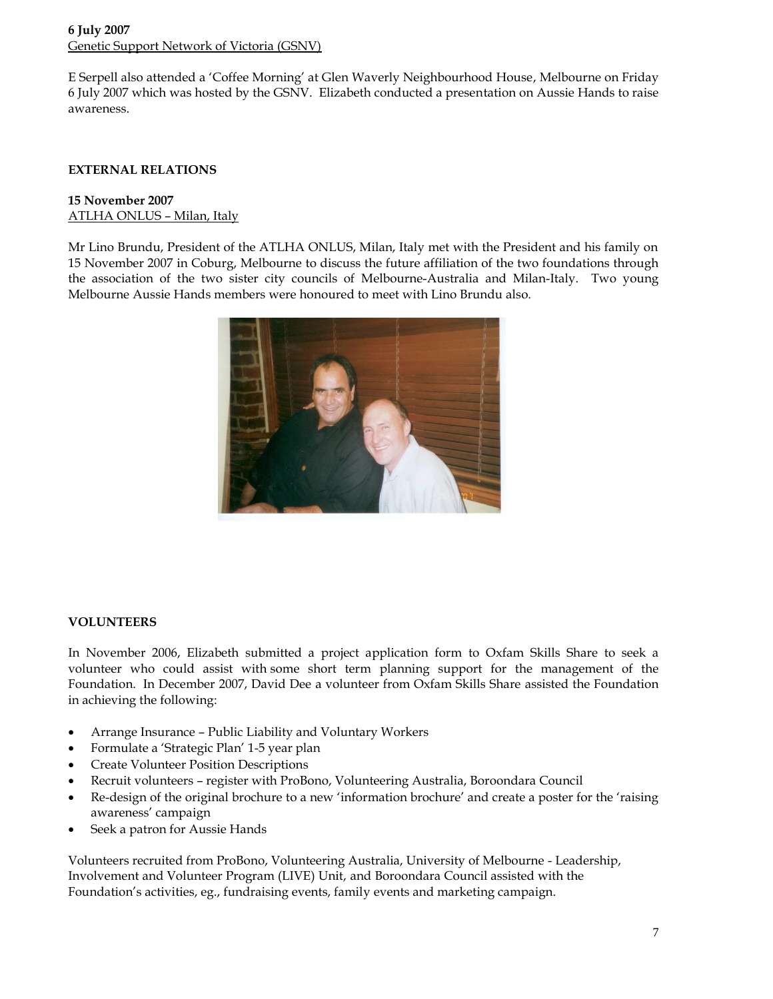# **6 July 2007** Genetic Support Network of Victoria (GSNV)

E Serpell also attended a 'Coffee Morning' at Glen Waverly Neighbourhood House, Melbourne on Friday 6 July 2007 which was hosted by the GSNV. Elizabeth conducted a presentation on Aussie Hands to raise awareness.

# **EXTERNAL RELATIONS**

## **15 November 2007** ATLHA ONLUS – Milan, Italy

Mr Lino Brundu, President of the ATLHA ONLUS, Milan, Italy met with the President and his family on 15 November 2007 in Coburg, Melbourne to discuss the future affiliation of the two foundations through the association of the two sister city councils of Melbourne-Australia and Milan-Italy. Two young Melbourne Aussie Hands members were honoured to meet with Lino Brundu also.



## **VOLUNTEERS**

In November 2006, Elizabeth submitted a project application form to Oxfam Skills Share to seek a volunteer who could assist with some short term planning support for the management of the Foundation. In December 2007, David Dee a volunteer from Oxfam Skills Share assisted the Foundation in achieving the following:

- Arrange Insurance Public Liability and Voluntary Workers
- Formulate a 'Strategic Plan' 1-5 year plan
- Create Volunteer Position Descriptions
- Recruit volunteers register with ProBono, Volunteering Australia, Boroondara Council
- Re-design of the original brochure to a new 'information brochure' and create a poster for the 'raising awareness' campaign
- Seek a patron for Aussie Hands

Volunteers recruited from ProBono, Volunteering Australia, University of Melbourne - Leadership, Involvement and Volunteer Program (LIVE) Unit, and Boroondara Council assisted with the Foundation's activities, eg., fundraising events, family events and marketing campaign.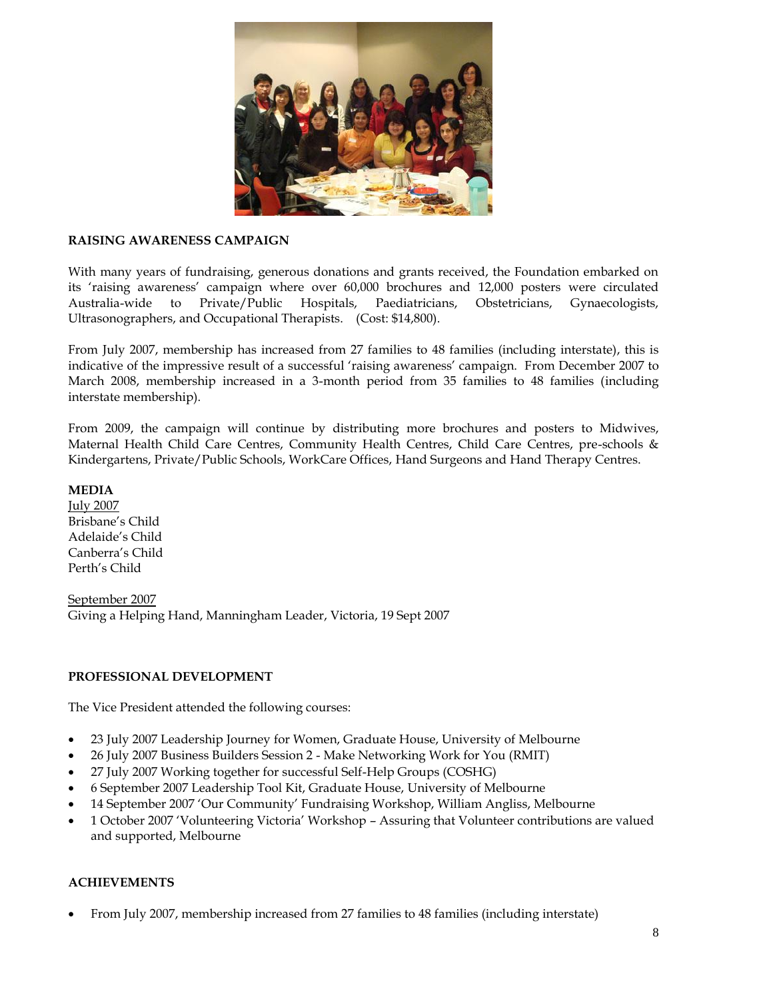

## **RAISING AWARENESS CAMPAIGN**

With many years of fundraising, generous donations and grants received, the Foundation embarked on its 'raising awareness' campaign where over 60,000 brochures and 12,000 posters were circulated Australia-wide to Private/Public Hospitals, Paediatricians, Obstetricians, Gynaecologists, Ultrasonographers, and Occupational Therapists. (Cost: \$14,800).

From July 2007, membership has increased from 27 families to 48 families (including interstate), this is indicative of the impressive result of a successful 'raising awareness' campaign. From December 2007 to March 2008, membership increased in a 3-month period from 35 families to 48 families (including interstate membership).

From 2009, the campaign will continue by distributing more brochures and posters to Midwives, Maternal Health Child Care Centres, Community Health Centres, Child Care Centres, pre-schools & Kindergartens, Private/Public Schools, WorkCare Offices, Hand Surgeons and Hand Therapy Centres.

**MEDIA**

July 2007 Brisbane's Child Adelaide's Child Canberra's Child Perth's Child

September 2007 Giving a Helping Hand, Manningham Leader, Victoria, 19 Sept 2007

### **PROFESSIONAL DEVELOPMENT**

The Vice President attended the following courses:

- 23 July 2007 Leadership Journey for Women, Graduate House, University of Melbourne
- 26 July 2007 Business Builders Session 2 Make Networking Work for You (RMIT)
- 27 July 2007 Working together for successful Self-Help Groups (COSHG)
- 6 September 2007 Leadership Tool Kit, Graduate House, University of Melbourne
- 14 September 2007 'Our Community' Fundraising Workshop, William Angliss, Melbourne
- 1 October 2007 'Volunteering Victoria' Workshop Assuring that Volunteer contributions are valued and supported, Melbourne

## **ACHIEVEMENTS**

From July 2007, membership increased from 27 families to 48 families (including interstate)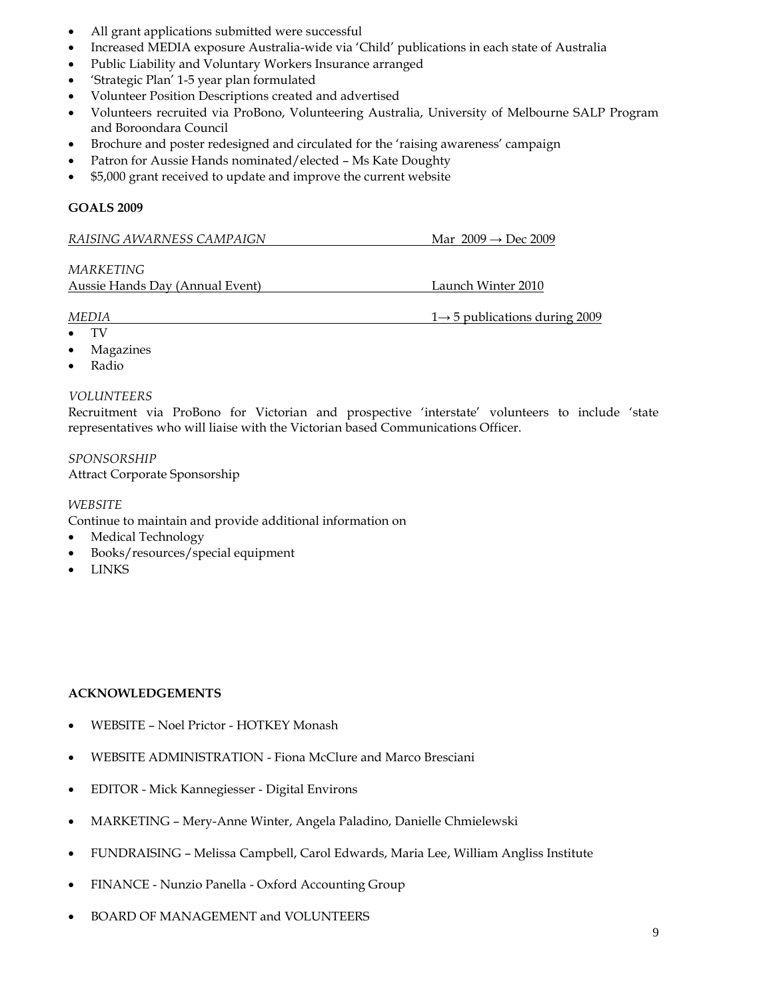- All grant applications submitted were successful
- Increased MEDIA exposure Australia-wide via 'Child' publications in each state of Australia
- Public Liability and Voluntary Workers Insurance arranged
- 'Strategic Plan' 1-5 year plan formulated
- Volunteer Position Descriptions created and advertised
- Volunteers recruited via ProBono, Volunteering Australia, University of Melbourne SALP Program and Boroondara Council
- Brochure and poster redesigned and circulated for the 'raising awareness' campaign
- Patron for Aussie Hands nominated/elected Ms Kate Doughty
- \$5,000 grant received to update and improve the current website

## **GOALS 2009**

| RAISING AWARNESS CAMPAIGN<br>Mar $2009 \rightarrow$ Dec 2009 |
|--------------------------------------------------------------|
|--------------------------------------------------------------|

*MARKETING*

Aussie Hands Day (Annual Event) Launch Winter 2010

#### *MEDIA* 1→ 5 publications during 2009

- TV
- Magazines
- Radio

## *VOLUNTEERS*

Recruitment via ProBono for Victorian and prospective 'interstate' volunteers to include 'state representatives who will liaise with the Victorian based Communications Officer.

*SPONSORSHIP* Attract Corporate Sponsorship

### *WEBSITE*

Continue to maintain and provide additional information on

- Medical Technology
- Books/resources/special equipment
- LINKS

## **ACKNOWLEDGEMENTS**

- WEBSITE Noel Prictor HOTKEY Monash
- WEBSITE ADMINISTRATION Fiona McClure and Marco Bresciani
- EDITOR Mick Kannegiesser Digital Environs
- MARKETING Mery-Anne Winter, Angela Paladino, Danielle Chmielewski
- FUNDRAISING Melissa Campbell, Carol Edwards, Maria Lee, William Angliss Institute
- FINANCE Nunzio Panella Oxford Accounting Group
- BOARD OF MANAGEMENT and VOLUNTEERS